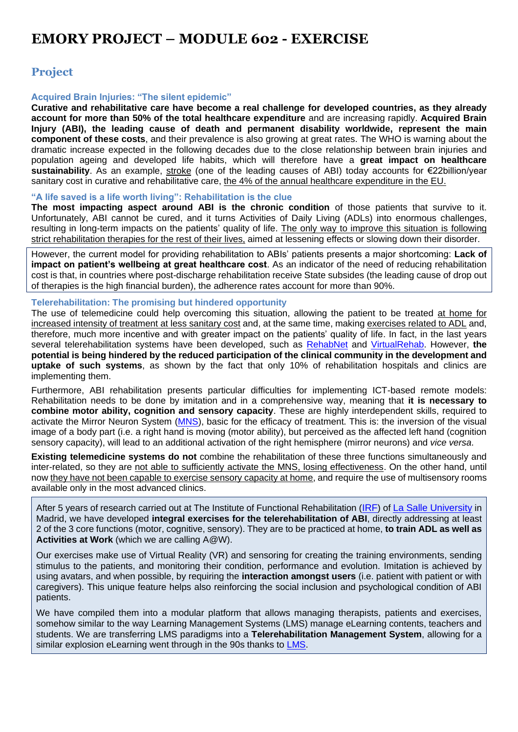# **EMORY PROJECT – MODULE 602 - EXERCISE**

### **Project**

#### **Acquired Brain Injuries: "The silent epidemic"**

**Curative and rehabilitative care have become a real challenge for developed countries, as they already account for more than 50% of the total healthcare expenditure** and are increasing rapidly. **Acquired Brain Injury (ABI), the leading cause of death and permanent disability worldwide, represent the main component of these costs**, and their prevalence is also growing at great rates. The WHO is warning about the dramatic increase expected in the following decades due to the close relationship between brain injuries and population ageing and developed life habits, which will therefore have a **great impact on healthcare sustainability**. As an example, stroke (one of the leading causes of ABI) today accounts for €22billion/year sanitary cost in curative and rehabilitative care, the 4% of the annual healthcare expenditure in the EU.

#### **"A life saved is a life worth living": Rehabilitation is the clue**

**The most impacting aspect around ABI is the chronic condition** of those patients that survive to it. Unfortunately, ABI cannot be cured, and it turns Activities of Daily Living (ADLs) into enormous challenges, resulting in long-term impacts on the patients' quality of life. The only way to improve this situation is following strict rehabilitation therapies for the rest of their lives, aimed at lessening effects or slowing down their disorder.

However, the current model for providing rehabilitation to ABIs' patients presents a major shortcoming: **Lack of impact on patient's wellbeing at great healthcare cost**. As an indicator of the need of reducing rehabilitation cost is that, in countries where post-discharge rehabilitation receive State subsides (the leading cause of drop out of therapies is the high financial burden), the adherence rates account for more than 90%.

#### **Telerehabilitation: The promising but hindered opportunity**

The use of telemedicine could help overcoming this situation, allowing the patient to be treated at home for increased intensity of treatment at less sanitary cost and, at the same time, making exercises related to ADL and, therefore, much more incentive and with greater impact on the patients' quality of life. In fact, in the last years several telerehabilitation systems have been developed, such as [RehabNet](https://www.rehabnet.ch/) and [VirtualRehab.](http://www.virtualrehab.info/) However, **the potential is being hindered by the reduced participation of the clinical community in the development and uptake of such systems**, as shown by the fact that only 10% of rehabilitation hospitals and clinics are implementing them.

Furthermore, ABI rehabilitation presents particular difficulties for implementing ICT-based remote models: Rehabilitation needs to be done by imitation and in a comprehensive way, meaning that **it is necessary to combine motor ability, cognition and sensory capacity**. These are highly interdependent skills, required to activate the Mirror Neuron System [\(MNS\)](https://en.wikipedia.org/wiki/Mirror_neuron), basic for the efficacy of treatment. This is: the inversion of the visual image of a body part (i.e. a right hand is moving (motor ability), but perceived as the affected left hand (cognition sensory capacity), will lead to an additional activation of the right hemisphere (mirror neurons) and *vice versa*.

**Existing telemedicine systems do not** combine the rehabilitation of these three functions simultaneously and inter-related, so they are not able to sufficiently activate the MNS, losing effectiveness. On the other hand, until now they have not been capable to exercise sensory capacity at home, and require the use of multisensory rooms available only in the most advanced clinics.

After 5 years of research carried out at The Institute of Functional Rehabilitation ([IRF](http://www.irflasalle.es/)) of [La Salle University](http://www.lasallecentrouniversitario.es/) in Madrid, we have developed **integral exercises for the telerehabilitation of ABI**, directly addressing at least 2 of the 3 core functions (motor, cognitive, sensory). They are to be practiced at home, **to train ADL as well as Activities at Work** (which we are calling A@W).

Our exercises make use of Virtual Reality (VR) and sensoring for creating the training environments, sending stimulus to the patients, and monitoring their condition, performance and evolution. Imitation is achieved by using avatars, and when possible, by requiring the **interaction amongst users** (i.e. patient with patient or with caregivers). This unique feature helps also reinforcing the social inclusion and psychological condition of ABI patients.

We have compiled them into a modular platform that allows managing therapists, patients and exercises, somehow similar to the way Learning Management Systems (LMS) manage eLearning contents, teachers and students. We are transferring LMS paradigms into a **Telerehabilitation Management System**, allowing for a similar explosion eLearning went through in the 90s thanks to [LMS.](http://www.marketsandmarkets.com/PressReleases/learning-management-systems.asp)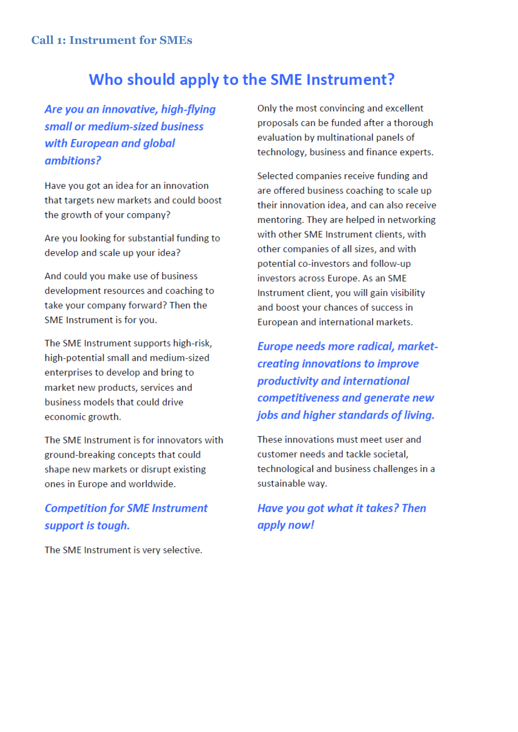# Who should apply to the SME Instrument?

Are you an innovative, high-flying small or medium-sized business with European and global ambitions?

Have you got an idea for an innovation that targets new markets and could boost the growth of your company?

Are you looking for substantial funding to develop and scale up your idea?

And could you make use of business development resources and coaching to take your company forward? Then the SME Instrument is for you.

The SME Instrument supports high-risk, high-potential small and medium-sized enterprises to develop and bring to market new products, services and business models that could drive economic growth.

The SME Instrument is for innovators with ground-breaking concepts that could shape new markets or disrupt existing ones in Europe and worldwide.

## **Competition for SME Instrument** support is tough.

The SME Instrument is very selective.

Only the most convincing and excellent proposals can be funded after a thorough evaluation by multinational panels of technology, business and finance experts.

Selected companies receive funding and are offered business coaching to scale up their innovation idea, and can also receive mentoring. They are helped in networking with other SME Instrument clients, with other companies of all sizes, and with potential co-investors and follow-up investors across Europe. As an SME Instrument client, you will gain visibility and boost your chances of success in European and international markets.

Europe needs more radical, marketcreating innovations to improve productivity and international competitiveness and generate new jobs and higher standards of living.

These innovations must meet user and customer needs and tackle societal. technological and business challenges in a sustainable way.

## Have you got what it takes? Then apply now!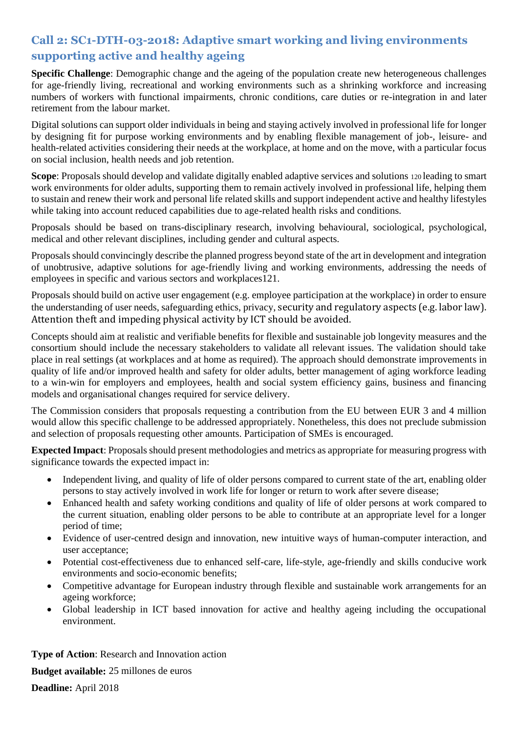## **Call 2: SC1-DTH-03-2018: Adaptive smart working and living environments supporting active and healthy ageing**

**Specific Challenge**: Demographic change and the ageing of the population create new heterogeneous challenges for age-friendly living, recreational and working environments such as a shrinking workforce and increasing numbers of workers with functional impairments, chronic conditions, care duties or re-integration in and later retirement from the labour market.

Digital solutions can support older individuals in being and staying actively involved in professional life for longer by designing fit for purpose working environments and by enabling flexible management of job-, leisure- and health-related activities considering their needs at the workplace, at home and on the move, with a particular focus on social inclusion, health needs and job retention.

**Scope**: Proposals should develop and validate digitally enabled adaptive services and solutions 120 leading to smart work environments for older adults, supporting them to remain actively involved in professional life, helping them to sustain and renew their work and personal life related skills and support independent active and healthy lifestyles while taking into account reduced capabilities due to age-related health risks and conditions.

Proposals should be based on trans-disciplinary research, involving behavioural, sociological, psychological, medical and other relevant disciplines, including gender and cultural aspects.

Proposals should convincingly describe the planned progress beyond state of the art in development and integration of unobtrusive, adaptive solutions for age-friendly living and working environments, addressing the needs of employees in specific and various sectors and workplaces121.

Proposals should build on active user engagement (e.g. employee participation at the workplace) in order to ensure the understanding of user needs, safeguarding ethics, privacy, security and regulatory aspects (e.g. labor law). Attention theft and impeding physical activity by ICT should be avoided.

Concepts should aim at realistic and verifiable benefits for flexible and sustainable job longevity measures and the consortium should include the necessary stakeholders to validate all relevant issues. The validation should take place in real settings (at workplaces and at home as required). The approach should demonstrate improvements in quality of life and/or improved health and safety for older adults, better management of aging workforce leading to a win-win for employers and employees, health and social system efficiency gains, business and financing models and organisational changes required for service delivery.

The Commission considers that proposals requesting a contribution from the EU between EUR 3 and 4 million would allow this specific challenge to be addressed appropriately. Nonetheless, this does not preclude submission and selection of proposals requesting other amounts. Participation of SMEs is encouraged.

**Expected Impact**: Proposals should present methodologies and metrics as appropriate for measuring progress with significance towards the expected impact in:

- Independent living, and quality of life of older persons compared to current state of the art, enabling older persons to stay actively involved in work life for longer or return to work after severe disease;
- Enhanced health and safety working conditions and quality of life of older persons at work compared to the current situation, enabling older persons to be able to contribute at an appropriate level for a longer period of time;
- Evidence of user-centred design and innovation, new intuitive ways of human-computer interaction, and user acceptance;
- Potential cost-effectiveness due to enhanced self-care, life-style, age-friendly and skills conducive work environments and socio-economic benefits;
- Competitive advantage for European industry through flexible and sustainable work arrangements for an ageing workforce;
- Global leadership in ICT based innovation for active and healthy ageing including the occupational environment.

**Type of Action**: Research and Innovation action

**Budget available:** 25 millones de euros

**Deadline:** April 2018